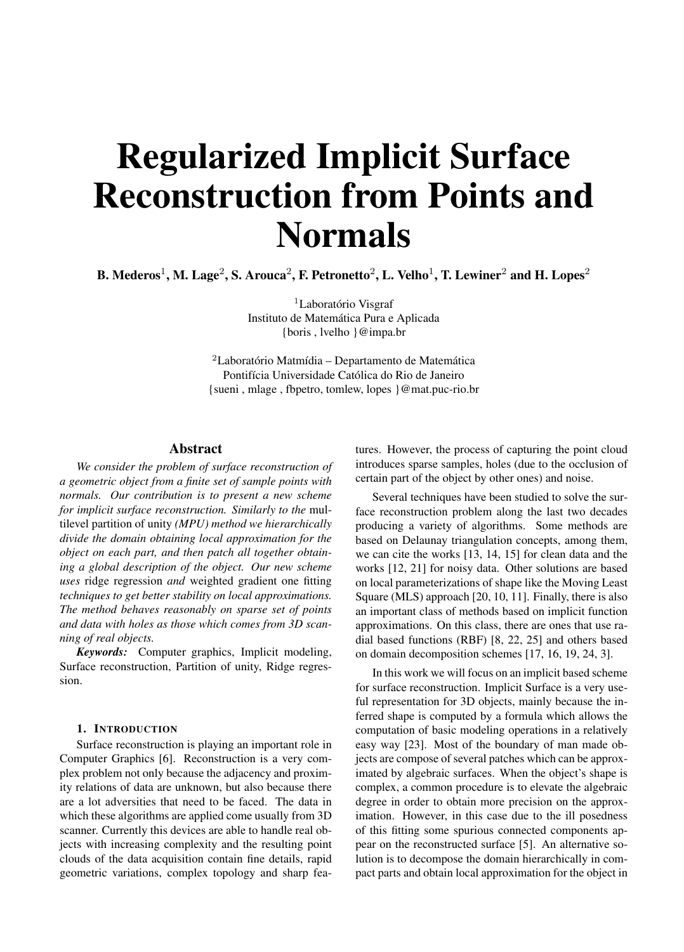# Regularized Implicit Surface Reconstruction from Points and Normals

B. Mederos<sup>1</sup>, M. Lage<sup>2</sup>, S. Arouca<sup>2</sup>, F. Petronetto<sup>2</sup>, L. Velho<sup>1</sup>, T. Lewiner<sup>2</sup> and H. Lopes<sup>2</sup>

<sup>1</sup>Laboratório Visgraf Instituto de Matemática Pura e Aplicada {boris , lvelho }@impa.br

<sup>2</sup>Laboratório Matmídia – Departamento de Matemática Pontifícia Universidade Católica do Rio de Janeiro {sueni , mlage , fbpetro, tomlew, lopes }@mat.puc-rio.br

# Abstract

*We consider the problem of surface reconstruction of a geometric object from a finite set of sample points with normals. Our contribution is to present a new scheme for implicit surface reconstruction. Similarly to the* multilevel partition of unity *(MPU) method we hierarchically divide the domain obtaining local approximation for the object on each part, and then patch all together obtaining a global description of the object. Our new scheme uses* ridge regression *and* weighted gradient one fitting *techniques to get better stability on local approximations. The method behaves reasonably on sparse set of points and data with holes as those which comes from 3D scanning of real objects.*

*Keywords:* Computer graphics, Implicit modeling, Surface reconstruction, Partition of unity, Ridge regression.

#### 1. INTRODUCTION

Surface reconstruction is playing an important role in Computer Graphics [6]. Reconstruction is a very complex problem not only because the adjacency and proximity relations of data are unknown, but also because there are a lot adversities that need to be faced. The data in which these algorithms are applied come usually from 3D scanner. Currently this devices are able to handle real objects with increasing complexity and the resulting point clouds of the data acquisition contain fine details, rapid geometric variations, complex topology and sharp features. However, the process of capturing the point cloud introduces sparse samples, holes (due to the occlusion of certain part of the object by other ones) and noise.

Several techniques have been studied to solve the surface reconstruction problem along the last two decades producing a variety of algorithms. Some methods are based on Delaunay triangulation concepts, among them, we can cite the works [13, 14, 15] for clean data and the works [12, 21] for noisy data. Other solutions are based on local parameterizations of shape like the Moving Least Square (MLS) approach [20, 10, 11]. Finally, there is also an important class of methods based on implicit function approximations. On this class, there are ones that use radial based functions (RBF) [8, 22, 25] and others based on domain decomposition schemes [17, 16, 19, 24, 3].

In this work we will focus on an implicit based scheme for surface reconstruction. Implicit Surface is a very useful representation for 3D objects, mainly because the inferred shape is computed by a formula which allows the computation of basic modeling operations in a relatively easy way [23]. Most of the boundary of man made objects are compose of several patches which can be approximated by algebraic surfaces. When the object's shape is complex, a common procedure is to elevate the algebraic degree in order to obtain more precision on the approximation. However, in this case due to the ill posedness of this fitting some spurious connected components appear on the reconstructed surface [5]. An alternative solution is to decompose the domain hierarchically in compact parts and obtain local approximation for the object in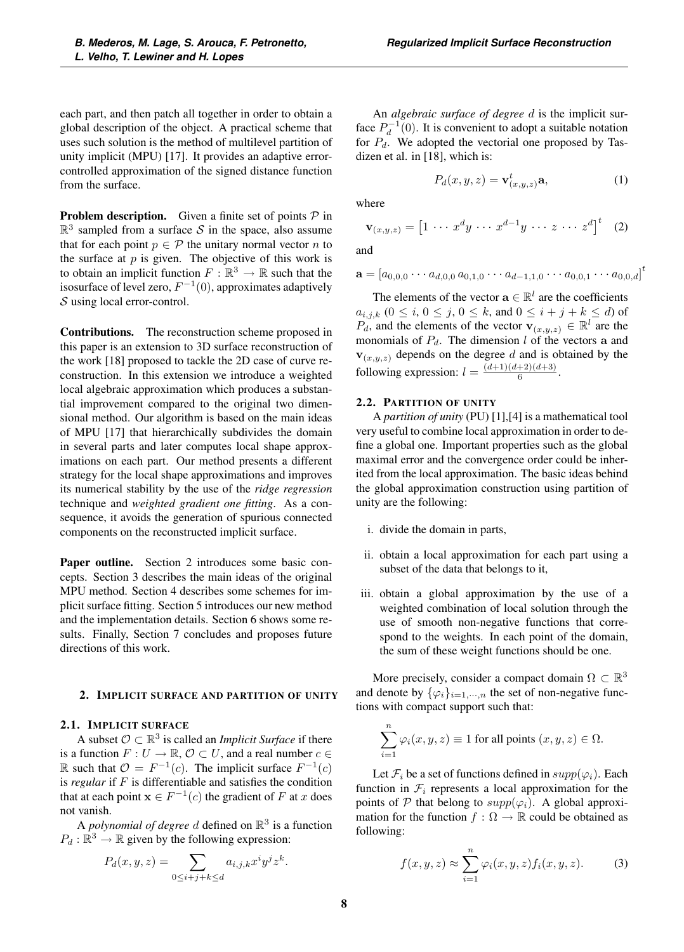each part, and then patch all together in order to obtain a global description of the object. A practical scheme that uses such solution is the method of multilevel partition of unity implicit (MPU) [17]. It provides an adaptive errorcontrolled approximation of the signed distance function from the surface.

**Problem description.** Given a finite set of points  $P$  in  $\mathbb{R}^3$  sampled from a surface S in the space, also assume that for each point  $p \in \mathcal{P}$  the unitary normal vector n to the surface at  $p$  is given. The objective of this work is to obtain an implicit function  $F : \mathbb{R}^3 \to \mathbb{R}$  such that the isosurface of level zero,  $F^{-1}(0)$ , approximates adaptively S using local error-control.

Contributions. The reconstruction scheme proposed in this paper is an extension to 3D surface reconstruction of the work [18] proposed to tackle the 2D case of curve reconstruction. In this extension we introduce a weighted local algebraic approximation which produces a substantial improvement compared to the original two dimensional method. Our algorithm is based on the main ideas of MPU [17] that hierarchically subdivides the domain in several parts and later computes local shape approximations on each part. Our method presents a different strategy for the local shape approximations and improves its numerical stability by the use of the *ridge regression* technique and *weighted gradient one fitting*. As a consequence, it avoids the generation of spurious connected components on the reconstructed implicit surface.

Paper outline. Section 2 introduces some basic concepts. Section 3 describes the main ideas of the original MPU method. Section 4 describes some schemes for implicit surface fitting. Section 5 introduces our new method and the implementation details. Section 6 shows some results. Finally, Section 7 concludes and proposes future directions of this work.

#### 2. IMPLICIT SURFACE AND PARTITION OF UNITY

# 2.1. IMPLICIT SURFACE

A subset  $\mathcal{O} \subset \mathbb{R}^3$  is called an *Implicit Surface* if there is a function  $F: U \to \mathbb{R}, \mathcal{O} \subset U$ , and a real number  $c \in$ R such that  $\mathcal{O} = F^{-1}(c)$ . The implicit surface  $F^{-1}(c)$ is *regular* if F is differentiable and satisfies the condition that at each point  $\mathbf{x} \in F^{-1}(c)$  the gradient of F at x does not vanish.

A *polynomial of degree* d defined on  $\mathbb{R}^3$  is a function  $P_d : \mathbb{R}^3 \to \mathbb{R}$  given by the following expression:

$$
P_d(x, y, z) = \sum_{0 \le i+j+k \le d} a_{i,j,k} x^i y^j z^k.
$$

An *algebraic surface of degree* d is the implicit surface  $P_d^{-1}(0)$ . It is convenient to adopt a suitable notation for  $P_d$ . We adopted the vectorial one proposed by Tasdizen et al. in [18], which is:

$$
P_d(x, y, z) = \mathbf{v}_{(x, y, z)}^t \mathbf{a},\tag{1}
$$

where

$$
\mathbf{v}_{(x,y,z)} = \begin{bmatrix} 1 & \cdots & x^d y & \cdots & x^{d-1} y & \cdots & z & \cdots & z^d \end{bmatrix}^t \quad (2)
$$

and

$$
\mathbf{a} = [a_{0,0,0} \cdots a_{d,0,0} a_{0,1,0} \cdots a_{d-1,1,0} \cdots a_{0,0,1} \cdots a_{0,0,d}]^t
$$

The elements of the vector  $\mathbf{a} \in \mathbb{R}^l$  are the coefficients  $a_{i,j,k}$   $(0 \le i, 0 \le j, 0 \le k, \text{ and } 0 \le i + j + k \le d)$  of  $P_d$ , and the elements of the vector  $\mathbf{v}_{(x,y,z)} \in \mathbb{R}^l$  are the monomials of  $P_d$ . The dimension l of the vectors **a** and  **depends on the degree d and is obtained by the** following expression:  $l = \frac{(d+1)(d+2)(d+3)}{6}$ .

# 2.2. PARTITION OF UNITY

A *partition of unity* (PU) [1],[4] is a mathematical tool very useful to combine local approximation in order to define a global one. Important properties such as the global maximal error and the convergence order could be inherited from the local approximation. The basic ideas behind the global approximation construction using partition of unity are the following:

- i. divide the domain in parts,
- ii. obtain a local approximation for each part using a subset of the data that belongs to it,
- iii. obtain a global approximation by the use of a weighted combination of local solution through the use of smooth non-negative functions that correspond to the weights. In each point of the domain, the sum of these weight functions should be one.

More precisely, consider a compact domain  $\Omega \subset \mathbb{R}^3$ and denote by  $\{\varphi_i\}_{i=1,\dots,n}$  the set of non-negative functions with compact support such that:

$$
\sum_{i=1}^{n} \varphi_i(x, y, z) \equiv 1 \text{ for all points } (x, y, z) \in \Omega.
$$

Let  $\mathcal{F}_i$  be a set of functions defined in  $supp(\varphi_i)$ . Each function in  $\mathcal{F}_i$  represents a local approximation for the points of P that belong to  $supp(\varphi_i)$ . A global approximation for the function  $f : \Omega \to \mathbb{R}$  could be obtained as following:

$$
f(x, y, z) \approx \sum_{i=1}^{n} \varphi_i(x, y, z) f_i(x, y, z).
$$
 (3)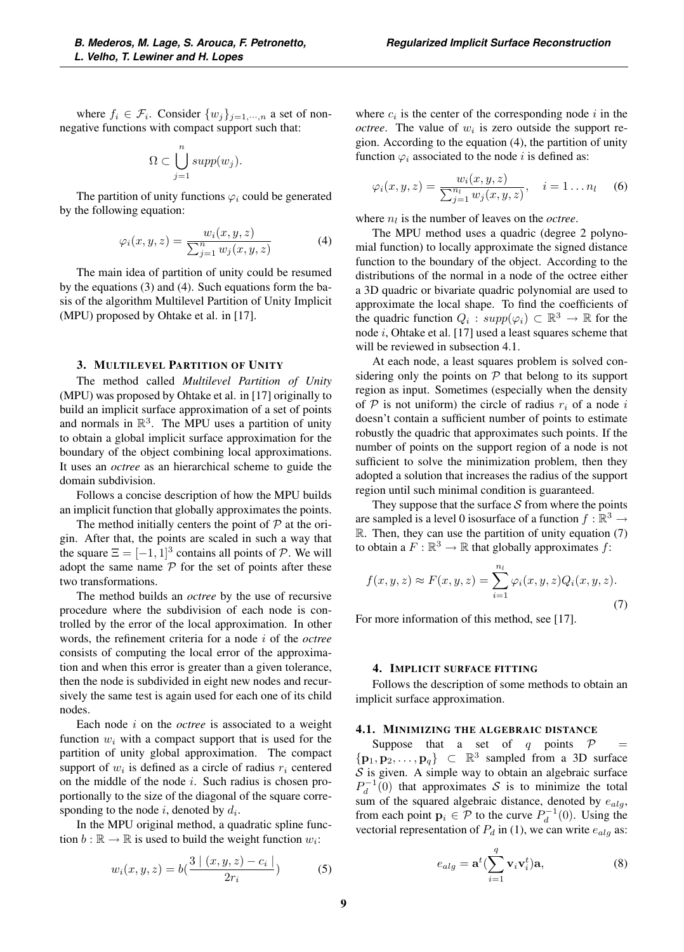where  $f_i \in \mathcal{F}_i$ . Consider  $\{w_j\}_{j=1,\dots,n}$  a set of nonnegative functions with compact support such that:

$$
\Omega \subset \bigcup_{j=1}^n supp(w_j).
$$

The partition of unity functions  $\varphi_i$  could be generated by the following equation:

$$
\varphi_i(x, y, z) = \frac{w_i(x, y, z)}{\sum_{j=1}^n w_j(x, y, z)}
$$
(4)

The main idea of partition of unity could be resumed by the equations (3) and (4). Such equations form the basis of the algorithm Multilevel Partition of Unity Implicit (MPU) proposed by Ohtake et al. in [17].

#### 3. MULTILEVEL PARTITION OF UNITY

The method called *Multilevel Partition of Unity* (MPU) was proposed by Ohtake et al. in [17] originally to build an implicit surface approximation of a set of points and normals in  $\mathbb{R}^3$ . The MPU uses a partition of unity to obtain a global implicit surface approximation for the boundary of the object combining local approximations. It uses an *octree* as an hierarchical scheme to guide the domain subdivision.

Follows a concise description of how the MPU builds an implicit function that globally approximates the points.

The method initially centers the point of  $P$  at the origin. After that, the points are scaled in such a way that the square  $\Xi = [-1, 1]^3$  contains all points of P. We will adopt the same name  $P$  for the set of points after these two transformations.

The method builds an *octree* by the use of recursive procedure where the subdivision of each node is controlled by the error of the local approximation. In other words, the refinement criteria for a node i of the *octree* consists of computing the local error of the approximation and when this error is greater than a given tolerance, then the node is subdivided in eight new nodes and recursively the same test is again used for each one of its child nodes.

Each node i on the *octree* is associated to a weight function  $w_i$  with a compact support that is used for the partition of unity global approximation. The compact support of  $w_i$  is defined as a circle of radius  $r_i$  centered on the middle of the node  $i$ . Such radius is chosen proportionally to the size of the diagonal of the square corresponding to the node  $i$ , denoted by  $d_i$ .

In the MPU original method, a quadratic spline function  $b : \mathbb{R} \to \mathbb{R}$  is used to build the weight function  $w_i$ :

$$
w_i(x, y, z) = b\left(\frac{3 \mid (x, y, z) - c_i \mid}{2r_i}\right) \tag{5}
$$

where  $c_i$  is the center of the corresponding node i in the *octree*. The value of  $w_i$  is zero outside the support region. According to the equation (4), the partition of unity function  $\varphi_i$  associated to the node i is defined as:

$$
\varphi_i(x, y, z) = \frac{w_i(x, y, z)}{\sum_{j=1}^{n_l} w_j(x, y, z)}, \quad i = 1...n_l
$$
 (6)

where  $n_l$  is the number of leaves on the *octree*.

The MPU method uses a quadric (degree 2 polynomial function) to locally approximate the signed distance function to the boundary of the object. According to the distributions of the normal in a node of the octree either a 3D quadric or bivariate quadric polynomial are used to approximate the local shape. To find the coefficients of the quadric function  $Q_i$ :  $supp(\varphi_i) \subset \mathbb{R}^3 \to \mathbb{R}$  for the node i, Ohtake et al. [17] used a least squares scheme that will be reviewed in subsection 4.1.

At each node, a least squares problem is solved considering only the points on  $P$  that belong to its support region as input. Sometimes (especially when the density of  $P$  is not uniform) the circle of radius  $r_i$  of a node i doesn't contain a sufficient number of points to estimate robustly the quadric that approximates such points. If the number of points on the support region of a node is not sufficient to solve the minimization problem, then they adopted a solution that increases the radius of the support region until such minimal condition is guaranteed.

They suppose that the surface  $S$  from where the points are sampled is a level 0 isosurface of a function  $f : \mathbb{R}^3 \to$ R. Then, they can use the partition of unity equation (7) to obtain a  $F : \mathbb{R}^3 \to \mathbb{R}$  that globally approximates f:

$$
f(x,y,z) \approx F(x,y,z) = \sum_{i=1}^{n_l} \varphi_i(x,y,z) Q_i(x,y,z).
$$
\n(7)

For more information of this method, see [17].

#### 4. IMPLICIT SURFACE FITTING

Follows the description of some methods to obtain an implicit surface approximation.

## 4.1. MINIMIZING THE ALGEBRAIC DISTANCE

Suppose that a set of q points  $P =$  $\{p_1, p_2, \ldots, p_q\}$  ⊂  $\mathbb{R}^3$  sampled from a 3D surface  $S$  is given. A simple way to obtain an algebraic surface  $P_d^{-1}(0)$  that approximates S is to minimize the total sum of the squared algebraic distance, denoted by  $e_{alg}$ , from each point  $\mathbf{p}_i \in \mathcal{P}$  to the curve  $P_d^{-1}(0)$ . Using the vectorial representation of  $P_i$  in (1), we can write  $e_i$ , as: vectorial representation of  $P_d$  in (1), we can write  $e_{alg}$  as:

$$
e_{alg} = \mathbf{a}^t (\sum_{i=1}^q \mathbf{v}_i \mathbf{v}_i^t) \mathbf{a},\tag{8}
$$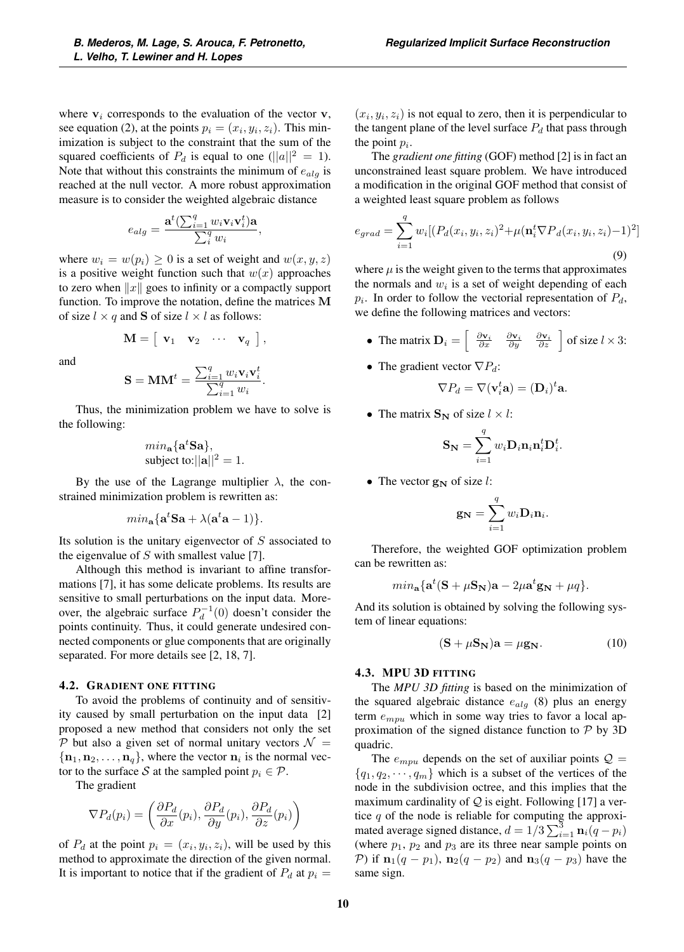where  $v_i$  corresponds to the evaluation of the vector  $v$ , see equation (2), at the points  $p_i = (x_i, y_i, z_i)$ . This minimization is subject to the constraint that the sum of the squared coefficients of  $P_d$  is equal to one ( $||a||^2 = 1$ ). Note that without this constraints the minimum of  $e_{ala}$  is reached at the null vector. A more robust approximation measure is to consider the weighted algebraic distance

$$
e_{alg} = \frac{\mathbf{a}^t(\sum_{i=1}^q w_i \mathbf{v}_i \mathbf{v}_i^t) \mathbf{a}}{\sum_{i}^q w_i},
$$

where  $w_i = w(p_i) \geq 0$  is a set of weight and  $w(x, y, z)$ is a positive weight function such that  $w(x)$  approaches to zero when  $||x||$  goes to infinity or a compactly support function. To improve the notation, define the matrices **M** of size  $l \times q$  and **S** of size  $l \times l$  as follows:

$$
\mathbf{M} = \begin{bmatrix} \mathbf{v}_1 & \mathbf{v}_2 & \cdots & \mathbf{v}_q \end{bmatrix},
$$

and

$$
\mathbf{S} = \mathbf{M}\mathbf{M}^t = \frac{\sum_{i=1}^q w_i \mathbf{v}_i \mathbf{v}_i^t}{\sum_{i=1}^q w_i}.
$$

Thus, the minimization problem we have to solve is the following:

$$
min_{\mathbf{a}}{\mathbf{a}^t \mathbf{S} \mathbf{a}}
$$
,  
subject to:  $||\mathbf{a}||^2 = 1$ .

By the use of the Lagrange multiplier  $\lambda$ , the constrained minimization problem is rewritten as:

$$
min_{\mathbf{a}}{\mathbf{a}^t \mathbf{S}\mathbf{a} + \lambda(\mathbf{a}^t \mathbf{a} - 1)}
$$

Its solution is the unitary eigenvector of  $S$  associated to the eigenvalue of  $S$  with smallest value [7].

Although this method is invariant to affine transformations [7], it has some delicate problems. Its results are sensitive to small perturbations on the input data. Moreover, the algebraic surface  $P_d^{-1}(0)$  doesn't consider the points continuity. Thus, it could generate undesired connected components or glue components that are originally separated. For more details see [2, 18, 7].

#### 4.2. GRADIENT ONE FITTING

To avoid the problems of continuity and of sensitivity caused by small perturbation on the input data [2] proposed a new method that considers not only the set P but also a given set of normal unitary vectors  $\mathcal{N} =$  ${\bf n}_1, {\bf n}_2, \ldots, {\bf n}_q$ , where the vector  ${\bf n}_i$  is the normal vector to the surface S at the sampled point  $p_i \in \mathcal{P}$ .

The gradient

$$
\nabla P_d(p_i) = \left(\frac{\partial P_d}{\partial x}(p_i), \frac{\partial P_d}{\partial y}(p_i), \frac{\partial P_d}{\partial z}(p_i)\right)
$$

of  $P_d$  at the point  $p_i = (x_i, y_i, z_i)$ , will be used by this method to approximate the direction of the given normal. It is important to notice that if the gradient of  $P_d$  at  $p_i =$ 

 $(x_i, y_i, z_i)$  is not equal to zero, then it is perpendicular to the tangent plane of the level surface  $P_d$  that pass through the point  $p_i$ .

The *gradient one fitting* (GOF) method [2] is in fact an unconstrained least square problem. We have introduced a modification in the original GOF method that consist of a weighted least square problem as follows

$$
e_{grad} = \sum_{i=1}^{q} w_i [(P_d(x_i, y_i, z_i)^2 + \mu(\mathbf{n}_i^t \nabla P_d(x_i, y_i, z_i) - 1)^2]
$$
\n(9)

where  $\mu$  is the weight given to the terms that approximates the normals and  $w_i$  is a set of weight depending of each  $p_i$ . In order to follow the vectorial representation of  $P_d$ , we define the following matrices and vectors:

- The matrix  $\mathbf{D}_i = \begin{bmatrix} \frac{\partial \mathbf{v}_i}{\partial x} & \frac{\partial \mathbf{v}_i}{\partial y} & \frac{\partial \mathbf{v}_i}{\partial z} \end{bmatrix}$  of size  $l \times 3$ :
- The gradient vector  $\nabla P_d$ :

$$
\nabla P_d = \nabla (\mathbf{v}_i^t \mathbf{a}) = (\mathbf{D}_i)^t \mathbf{a}.
$$

• The matrix  $\mathbf{S_N}$  of size  $l \times l$ :

$$
\mathbf{S_N} = \sum_{i=1}^{q} w_i \mathbf{D}_i \mathbf{n}_i \mathbf{n}_i^t \mathbf{D}_i^t.
$$

• The vector  $\mathbf{g_N}$  of size *l*:

$$
\mathbf{g_N} = \sum_{i=1}^q w_i \mathbf{D}_i \mathbf{n}_i.
$$

Therefore, the weighted GOF optimization problem can be rewritten as:

$$
min_{\mathbf{a}}{\mathbf{a}^t(\mathbf{S} + \mu \mathbf{S_N})\mathbf{a} - 2\mu \mathbf{a}^t \mathbf{g_N} + \mu q}.
$$

And its solution is obtained by solving the following system of linear equations:

$$
(\mathbf{S} + \mu \mathbf{S}_{\mathbf{N}})\mathbf{a} = \mu \mathbf{g}_{\mathbf{N}}.
$$
 (10)

## 4.3. MPU 3D FITTING

The *MPU 3D fitting* is based on the minimization of the squared algebraic distance  $e_{alg}$  (8) plus an energy term  $e_{mpu}$  which in some way tries to favor a local approximation of the signed distance function to  $P$  by 3D quadric.

The  $e_{mpu}$  depends on the set of auxiliar points  $\mathcal{Q} =$  ${q_1, q_2, \dots, q_m}$  which is a subset of the vertices of the node in the subdivision octree, and this implies that the maximum cardinality of  $Q$  is eight. Following [17] a vertice  $q$  of the node is reliable for computing the approximated average signed distance,  $d = 1/3 \sum_{i=1}^{3} \mathbf{n}_i (q - p_i)$ <br>(where  $p_i$ ,  $p_i$  and  $p_i$  are its three near sample points on (where  $p_1$ ,  $p_2$  and  $p_3$  are its three near sample points on  $P$ ) if  $\mathbf{n}_1(q - p_1)$ ,  $\mathbf{n}_2(q - p_2)$  and  $\mathbf{n}_3(q - p_3)$  have the same sign.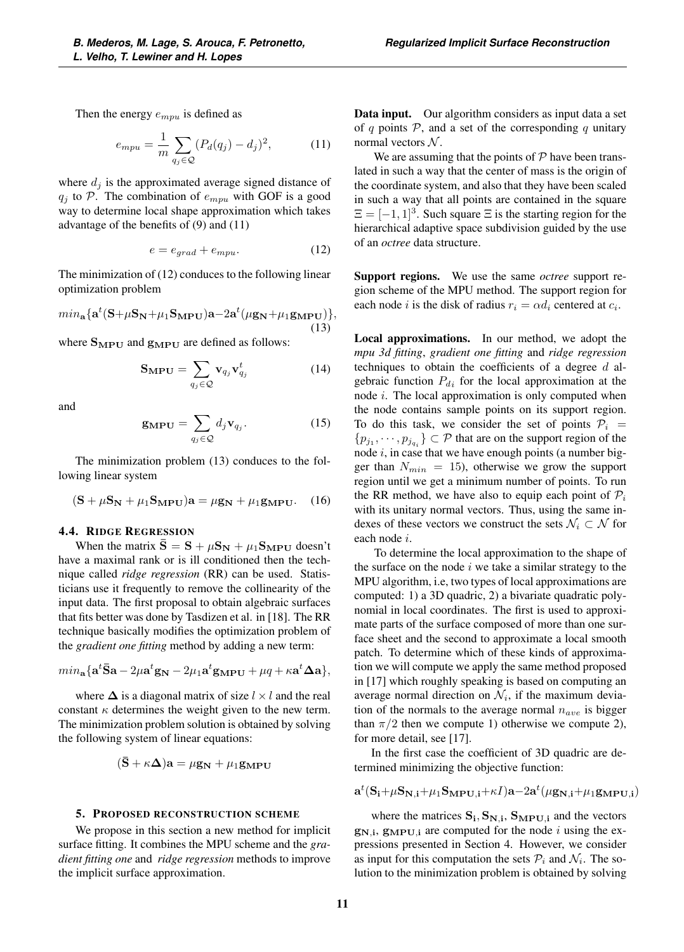Then the energy  $e_{m n u}$  is defined as

$$
e_{mpu} = \frac{1}{m} \sum_{q_j \in \mathcal{Q}} (P_d(q_j) - d_j)^2, \tag{11}
$$

where  $d_i$  is the approximated average signed distance of  $q_j$  to P. The combination of  $e_{mpu}$  with GOF is a good way to determine local shape approximation which takes advantage of the benefits of (9) and (11)

$$
e = e_{grad} + e_{mpu}.
$$
 (12)

The minimization of (12) conduces to the following linear optimization problem

$$
min_{\mathbf{a}}\{\mathbf{a}^t(\mathbf{S}+\mu\mathbf{S}_{\mathbf{N}}+\mu_1\mathbf{S}_{\mathbf{MPU}})\mathbf{a}-2\mathbf{a}^t(\mu\mathbf{g}_{\mathbf{N}}+\mu_1\mathbf{g}_{\mathbf{MPU}})\},\tag{13}
$$

where **<sup>S</sup>MPU** and **<sup>g</sup>MPU** are defined as follows:

$$
\mathbf{S}_{\mathbf{MPU}} = \sum_{q_j \in \mathcal{Q}} \mathbf{v}_{q_j} \mathbf{v}_{q_j}^t \tag{14}
$$

and

$$
\mathbf{g}_{\mathbf{MPU}} = \sum_{q_j \in \mathcal{Q}} d_j \mathbf{v}_{q_j}.
$$
 (15)

The minimization problem (13) conduces to the following linear system

$$
(\mathbf{S} + \mu \mathbf{S_N} + \mu_1 \mathbf{S_{MPU}})\mathbf{a} = \mu \mathbf{g_N} + \mu_1 \mathbf{g_{MPU}}.
$$
 (16)

#### 4.4. RIDGE REGRESSION

When the matrix  $\bar{S} = S + \mu S_N + \mu_1 S_{MPU}$  doesn't have a maximal rank or is ill conditioned then the technique called *ridge regression* (RR) can be used. Statisticians use it frequently to remove the collinearity of the input data. The first proposal to obtain algebraic surfaces that fits better was done by Tasdizen et al. in [18]. The RR technique basically modifies the optimization problem of the *gradient one fitting* method by adding a new term:

$$
min_{\mathbf{a}} {\mathbf{a}}^t \bar{\mathbf{S}} \mathbf{a} - 2\mu \mathbf{a}^t \mathbf{g_N} - 2\mu_1 \mathbf{a}^t \mathbf{g_{MPU}} + \mu q + \kappa \mathbf{a}^t \Delta \mathbf{a} \},
$$

where  $\Delta$  is a diagonal matrix of size  $l \times l$  and the real constant  $\kappa$  determines the weight given to the new term. The minimization problem solution is obtained by solving the following system of linear equations:

$$
(\bar{\mathbf{S}} + \kappa \mathbf{\Delta})\mathbf{a} = \mu \mathbf{g}_{\mathbf{N}} + \mu_1 \mathbf{g}_{\mathbf{MPU}}
$$

#### 5. PROPOSED RECONSTRUCTION SCHEME

We propose in this section a new method for implicit surface fitting. It combines the MPU scheme and the *gradient fitting one* and *ridge regression* methods to improve the implicit surface approximation.

Data input. Our algorithm considers as input data a set of q points  $P$ , and a set of the corresponding q unitary normal vectors  $N$ .

We are assuming that the points of  $P$  have been translated in such a way that the center of mass is the origin of the coordinate system, and also that they have been scaled in such a way that all points are contained in the square  $\Xi = [-1, 1]^3$ . Such square  $\Xi$  is the starting region for the hierarchical adaptive space subdivision guided by the use of an *octree* data structure.

Support regions. We use the same *octree* support region scheme of the MPU method. The support region for each node *i* is the disk of radius  $r_i = \alpha d_i$  centered at  $c_i$ .

Local approximations. In our method, we adopt the *mpu 3d fitting*, *gradient one fitting* and *ridge regression* techniques to obtain the coefficients of a degree d algebraic function  $P_{di}$  for the local approximation at the node  $i$ . The local approximation is only computed when the node contains sample points on its support region. To do this task, we consider the set of points  $P_i$  =  $\{p_{j_1}, \dots, p_{j_{q_i}}\} \subset \mathcal{P}$  that are on the support region of the node  $i$ , in case that we have enough points (a number bigger than  $N_{min} = 15$ ), otherwise we grow the support region until we get a minimum number of points. To run the RR method, we have also to equip each point of  $P_i$ with its unitary normal vectors. Thus, using the same indexes of these vectors we construct the sets  $\mathcal{N}_i \subset \mathcal{N}$  for each node i.

To determine the local approximation to the shape of the surface on the node  $i$  we take a similar strategy to the MPU algorithm, i.e, two types of local approximations are computed: 1) a 3D quadric, 2) a bivariate quadratic polynomial in local coordinates. The first is used to approximate parts of the surface composed of more than one surface sheet and the second to approximate a local smooth patch. To determine which of these kinds of approximation we will compute we apply the same method proposed in [17] which roughly speaking is based on computing an average normal direction on  $\mathcal{N}_i$ , if the maximum deviation of the normals to the average normal  $n_{ave}$  is bigger than  $\pi/2$  then we compute 1) otherwise we compute 2), for more detail, see [17].

In the first case the coefficient of 3D quadric are determined minimizing the objective function:

$$
\mathbf{a}^t (\mathbf{S_i} \!+\! \mu \mathbf{S_{N,i}} \!+\! \mu_1 \mathbf{S_{MPU,i}} \!+\! \kappa I) \mathbf{a} \!-\! 2 \mathbf{a}^t (\mu \mathbf{g_{N,i}} \!+\! \mu_1 \mathbf{g_{MPU,i}})
$$

where the matrices  $S_i$ ,  $S_{N,i}$ ,  $S_{MPU,i}$  and the vectors  $g_{N,i}$ ,  $g_{MPU,i}$  are computed for the node i using the expressions presented in Section 4. However, we consider as input for this computation the sets  $P_i$  and  $\mathcal{N}_i$ . The solution to the minimization problem is obtained by solving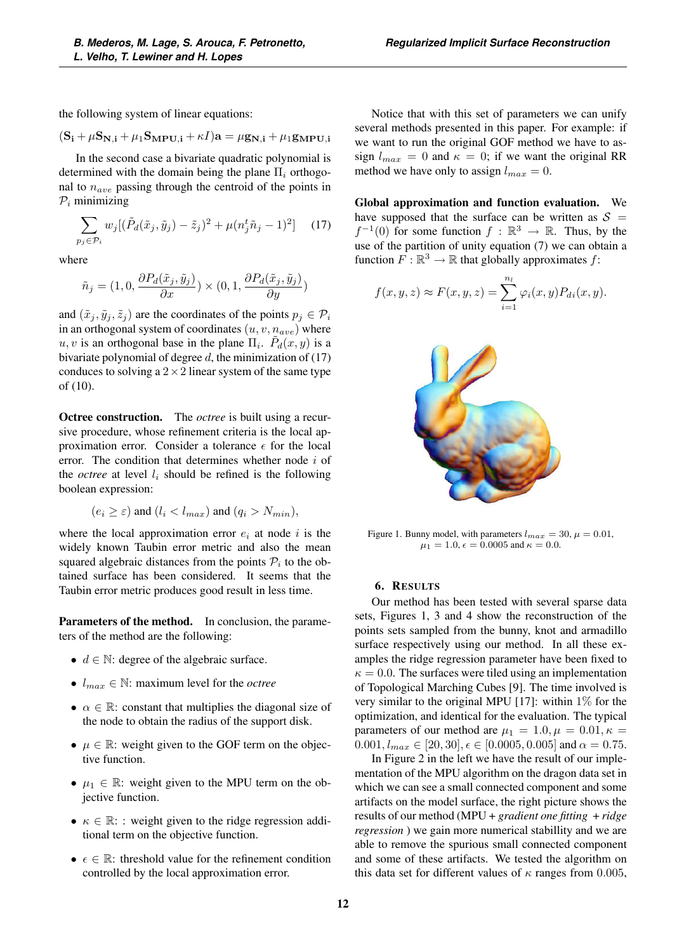the following system of linear equations:

$$
(\mathbf{S_i}+\mu\mathbf{S_{N,i}}+\mu_1\mathbf{S_{MPU,i}}+\kappa I)\mathbf{a}=\mu\mathbf{g_{N,i}}+\mu_1\mathbf{g_{MPU,i}}
$$

In the second case a bivariate quadratic polynomial is determined with the domain being the plane  $\Pi_i$  orthogonal to  $n_{ave}$  passing through the centroid of the points in  $P_i$  minimizing

$$
\sum_{p_j \in \mathcal{P}_i} w_j [(\tilde{P}_d(\tilde{x}_j, \tilde{y}_j) - \tilde{z}_j)^2 + \mu (n_j^t \tilde{n}_j - 1)^2]
$$
 (17)

where

$$
\tilde{n}_j=(1,0,\frac{\partial P_d(\tilde{x}_j,\tilde{y}_j)}{\partial x})\times (0,1,\frac{\partial P_d(\tilde{x}_j,\tilde{y}_j)}{\partial y})
$$

and  $(\tilde{x}_j, \tilde{y}_j, \tilde{z}_j)$  are the coordinates of the points  $p_j \in \mathcal{P}_i$ in an orthogonal system of coordinates  $(u, v, n_{ave})$  where  $u, v$  is an orthogonal base in the plane  $\Pi_i$ .  $P_d(x, y)$  is a bivariate polynomial of degree  $d$ , the minimization of (17) conduces to solving a  $2 \times 2$  linear system of the same type of (10).

Octree construction. The *octree* is built using a recursive procedure, whose refinement criteria is the local approximation error. Consider a tolerance  $\epsilon$  for the local error. The condition that determines whether node i of the *octree* at level  $l_i$  should be refined is the following boolean expression:

$$
(e_i \geq \varepsilon) \text{ and } (l_i < l_{max}) \text{ and } (q_i > N_{min}),
$$

where the local approximation error  $e_i$  at node i is the widely known Taubin error metric and also the mean squared algebraic distances from the points  $P_i$  to the obtained surface has been considered. It seems that the Taubin error metric produces good result in less time.

Parameters of the method. In conclusion, the parameters of the method are the following:

- $d \in \mathbb{N}$ : degree of the algebraic surface.
- $l_{max} \in \mathbb{N}$ : maximum level for the *octree*
- $\alpha \in \mathbb{R}$ : constant that multiplies the diagonal size of the node to obtain the radius of the support disk.
- $\mu \in \mathbb{R}$ : weight given to the GOF term on the objective function.
- $\mu_1 \in \mathbb{R}$ : weight given to the MPU term on the objective function.
- $\kappa \in \mathbb{R}$ : weight given to the ridge regression additional term on the objective function.
- $\epsilon \in \mathbb{R}$ : threshold value for the refinement condition controlled by the local approximation error.

Notice that with this set of parameters we can unify several methods presented in this paper. For example: if we want to run the original GOF method we have to assign  $l_{max} = 0$  and  $\kappa = 0$ ; if we want the original RR method we have only to assign  $l_{max} = 0$ .

Global approximation and function evaluation. We have supposed that the surface can be written as  $S =$  $f^{-1}(0)$  for some function  $f : \mathbb{R}^3 \to \mathbb{R}$ . Thus, by the use of the partition of unity equation (7) we can obtain a function  $F : \mathbb{R}^3 \to \mathbb{R}$  that globally approximates f:

$$
f(x, y, z) \approx F(x, y, z) = \sum_{i=1}^{n_l} \varphi_i(x, y) P_{di}(x, y).
$$



Figure 1. Bunny model, with parameters  $l_{max} = 30$ ,  $\mu = 0.01$ ,  $\mu_1 = 1.0, \epsilon = 0.0005$  and  $\kappa = 0.0$ .

## 6. RESULTS

Our method has been tested with several sparse data sets, Figures 1, 3 and 4 show the reconstruction of the points sets sampled from the bunny, knot and armadillo surface respectively using our method. In all these examples the ridge regression parameter have been fixed to  $\kappa = 0.0$ . The surfaces were tiled using an implementation of Topological Marching Cubes [9]. The time involved is very similar to the original MPU [17]: within  $1\%$  for the optimization, and identical for the evaluation. The typical parameters of our method are  $\mu_1 = 1.0, \mu = 0.01, \kappa =$  $0.001, l_{max} \in [20, 30], \epsilon \in [0.0005, 0.005]$  and  $\alpha = 0.75$ .

In Figure 2 in the left we have the result of our implementation of the MPU algorithm on the dragon data set in which we can see a small connected component and some artifacts on the model surface, the right picture shows the results of our method (MPU + *gradient one fitting* + *ridge regression* ) we gain more numerical stabillity and we are able to remove the spurious small connected component and some of these artifacts. We tested the algorithm on this data set for different values of  $\kappa$  ranges from 0.005,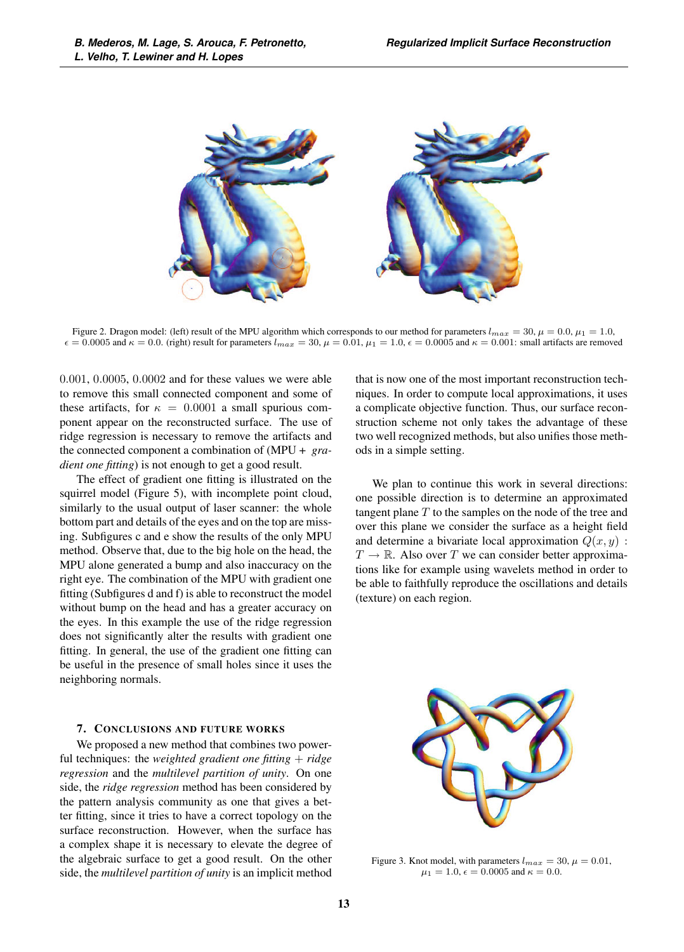

Figure 2. Dragon model: (left) result of the MPU algorithm which corresponds to our method for parameters  $l_{max} = 30$ ,  $\mu = 0.0$ ,  $\mu_1 = 1.0$ ,  $\epsilon = 0.0005$  and  $\kappa = 0.0$ . (right) result for parameters  $l_{max} = 30$ ,  $\mu = 0.01$ ,  $\mu_1 = 1.0$ ,  $\epsilon = 0.0005$  and  $\kappa = 0.001$ : small artifacts are removed

0.001, 0.0005, 0.0002 and for these values we were able to remove this small connected component and some of these artifacts, for  $\kappa = 0.0001$  a small spurious component appear on the reconstructed surface. The use of ridge regression is necessary to remove the artifacts and the connected component a combination of (MPU + *gradient one fitting*) is not enough to get a good result.

The effect of gradient one fitting is illustrated on the squirrel model (Figure 5), with incomplete point cloud, similarly to the usual output of laser scanner: the whole bottom part and details of the eyes and on the top are missing. Subfigures c and e show the results of the only MPU method. Observe that, due to the big hole on the head, the MPU alone generated a bump and also inaccuracy on the right eye. The combination of the MPU with gradient one fitting (Subfigures d and f) is able to reconstruct the model without bump on the head and has a greater accuracy on the eyes. In this example the use of the ridge regression does not significantly alter the results with gradient one fitting. In general, the use of the gradient one fitting can be useful in the presence of small holes since it uses the neighboring normals.

#### 7. CONCLUSIONS AND FUTURE WORKS

We proposed a new method that combines two powerful techniques: the *weighted gradient one fitting* + *ridge regression* and the *multilevel partition of unity*. On one side, the *ridge regression* method has been considered by the pattern analysis community as one that gives a better fitting, since it tries to have a correct topology on the surface reconstruction. However, when the surface has a complex shape it is necessary to elevate the degree of the algebraic surface to get a good result. On the other side, the *multilevel partition of unity* is an implicit method that is now one of the most important reconstruction techniques. In order to compute local approximations, it uses a complicate objective function. Thus, our surface reconstruction scheme not only takes the advantage of these two well recognized methods, but also unifies those methods in a simple setting.

We plan to continue this work in several directions: one possible direction is to determine an approximated tangent plane  $T$  to the samples on the node of the tree and over this plane we consider the surface as a height field and determine a bivariate local approximation  $Q(x, y)$ :  $T \to \mathbb{R}$ . Also over T we can consider better approximations like for example using wavelets method in order to be able to faithfully reproduce the oscillations and details (texture) on each region.



Figure 3. Knot model, with parameters  $l_{max} = 30$ ,  $\mu = 0.01$ ,  $\mu_1 = 1.0, \epsilon = 0.0005$  and  $\kappa = 0.0$ .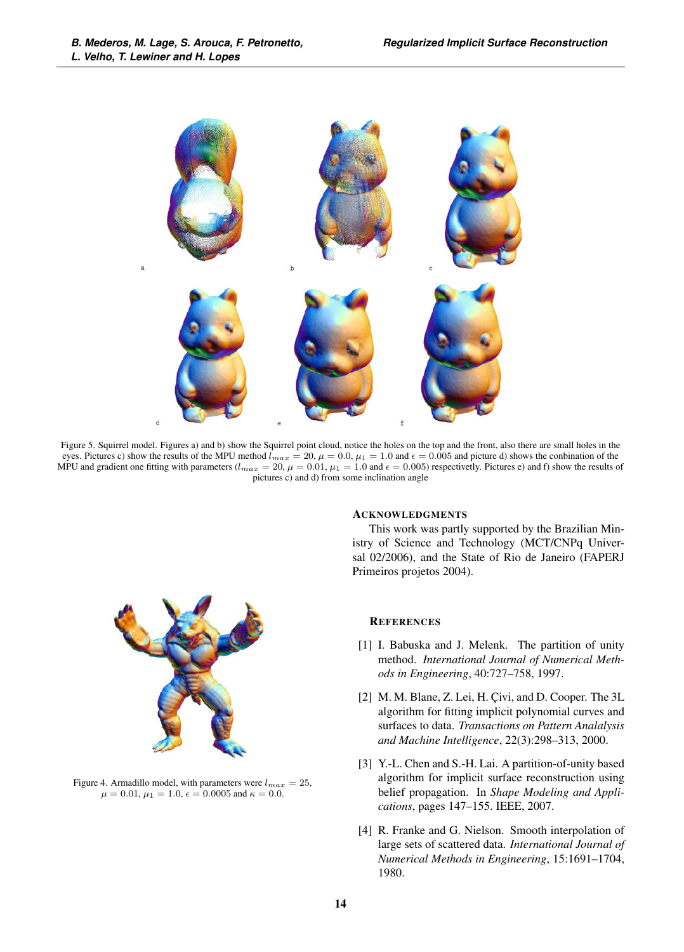

Figure 5. Squirrel model. Figures a) and b) show the Squirrel point cloud, notice the holes on the top and the front, also there are small holes in the eyes. Pictures c) show the results of the MPU method  $l_{max} = 20$ ,  $\mu = 0.0$ ,  $\mu_1 = 1.0$  and  $\epsilon = 0.005$  and picture d) shows the conbination of the MPU and gradient one fitting with parameters  $(l_{max} = 20, \mu = 0.01, \mu_1 = 1.0$  and  $\epsilon = 0.005$ ) respectivetly. Pictures e) and f) show the results of pictures c) and d) from some inclination angle



Figure 4. Armadillo model, with parameters were  $l_{max} = 25$ ,  $\mu = 0.01, \mu_1 = 1.0, \epsilon = 0.0005$  and  $\kappa = 0.0$ .

## **ACKNOWLEDGMENTS**

This work was partly supported by the Brazilian Ministry of Science and Technology (MCT/CNPq Universal 02/2006), and the State of Rio de Janeiro (FAPERJ Primeiros projetos 2004).

## **REFERENCES**

- [1] I. Babuska and J. Melenk. The partition of unity method. *International Journal of Numerical Methods in Engineering*, 40:727–758, 1997.
- [2] M. M. Blane, Z. Lei, H. Çivi, and D. Cooper. The 3L algorithm for fitting implicit polynomial curves and surfaces to data. *Transactions on Pattern Analalysis and Machine Intelligence*, 22(3):298–313, 2000.
- [3] Y.-L. Chen and S.-H. Lai. A partition-of-unity based algorithm for implicit surface reconstruction using belief propagation. In *Shape Modeling and Applications*, pages 147–155. IEEE, 2007.
- [4] R. Franke and G. Nielson. Smooth interpolation of large sets of scattered data. *International Journal of Numerical Methods in Engineering*, 15:1691–1704, 1980.